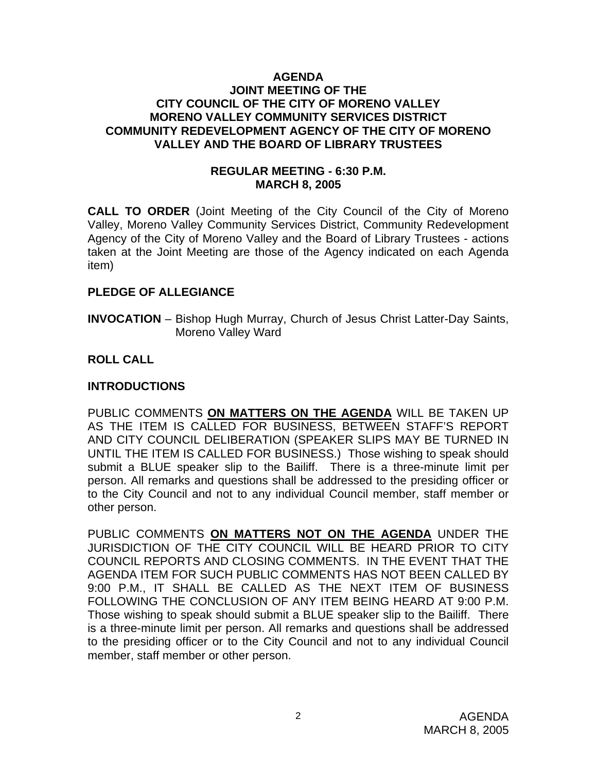#### **AGENDA JOINT MEETING OF THE CITY COUNCIL OF THE CITY OF MORENO VALLEY MORENO VALLEY COMMUNITY SERVICES DISTRICT COMMUNITY REDEVELOPMENT AGENCY OF THE CITY OF MORENO VALLEY AND THE BOARD OF LIBRARY TRUSTEES**

#### **REGULAR MEETING - 6:30 P.M. MARCH 8, 2005**

**CALL TO ORDER** (Joint Meeting of the City Council of the City of Moreno Valley, Moreno Valley Community Services District, Community Redevelopment Agency of the City of Moreno Valley and the Board of Library Trustees - actions taken at the Joint Meeting are those of the Agency indicated on each Agenda item)

#### **PLEDGE OF ALLEGIANCE**

**INVOCATION** – Bishop Hugh Murray, Church of Jesus Christ Latter-Day Saints, Moreno Valley Ward

#### **ROLL CALL**

#### **INTRODUCTIONS**

PUBLIC COMMENTS **ON MATTERS ON THE AGENDA** WILL BE TAKEN UP AS THE ITEM IS CALLED FOR BUSINESS, BETWEEN STAFF'S REPORT AND CITY COUNCIL DELIBERATION (SPEAKER SLIPS MAY BE TURNED IN UNTIL THE ITEM IS CALLED FOR BUSINESS.) Those wishing to speak should submit a BLUE speaker slip to the Bailiff. There is a three-minute limit per person. All remarks and questions shall be addressed to the presiding officer or to the City Council and not to any individual Council member, staff member or other person.

PUBLIC COMMENTS **ON MATTERS NOT ON THE AGENDA** UNDER THE JURISDICTION OF THE CITY COUNCIL WILL BE HEARD PRIOR TO CITY COUNCIL REPORTS AND CLOSING COMMENTS. IN THE EVENT THAT THE AGENDA ITEM FOR SUCH PUBLIC COMMENTS HAS NOT BEEN CALLED BY 9:00 P.M., IT SHALL BE CALLED AS THE NEXT ITEM OF BUSINESS FOLLOWING THE CONCLUSION OF ANY ITEM BEING HEARD AT 9:00 P.M. Those wishing to speak should submit a BLUE speaker slip to the Bailiff. There is a three-minute limit per person. All remarks and questions shall be addressed to the presiding officer or to the City Council and not to any individual Council member, staff member or other person.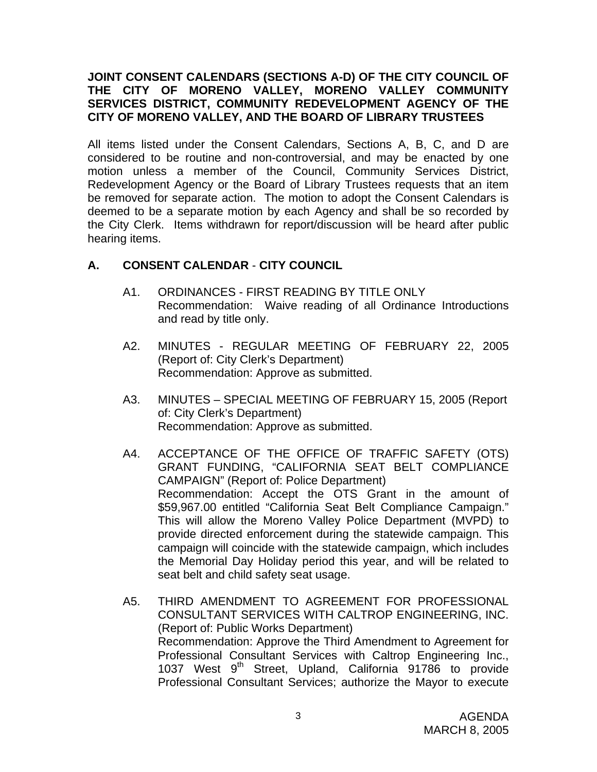### **JOINT CONSENT CALENDARS (SECTIONS A-D) OF THE CITY COUNCIL OF THE CITY OF MORENO VALLEY, MORENO VALLEY COMMUNITY SERVICES DISTRICT, COMMUNITY REDEVELOPMENT AGENCY OF THE CITY OF MORENO VALLEY, AND THE BOARD OF LIBRARY TRUSTEES**

All items listed under the Consent Calendars, Sections A, B, C, and D are considered to be routine and non-controversial, and may be enacted by one motion unless a member of the Council, Community Services District, Redevelopment Agency or the Board of Library Trustees requests that an item be removed for separate action. The motion to adopt the Consent Calendars is deemed to be a separate motion by each Agency and shall be so recorded by the City Clerk. Items withdrawn for report/discussion will be heard after public hearing items.

# **A. CONSENT CALENDAR** - **CITY COUNCIL**

- A1. ORDINANCES FIRST READING BY TITLE ONLY Recommendation: Waive reading of all Ordinance Introductions and read by title only.
- A2. MINUTES REGULAR MEETING OF FEBRUARY 22, 2005 (Report of: City Clerk's Department) Recommendation: Approve as submitted.
- A3. MINUTES SPECIAL MEETING OF FEBRUARY 15, 2005 (Report of: City Clerk's Department) Recommendation: Approve as submitted.
- A4. ACCEPTANCE OF THE OFFICE OF TRAFFIC SAFETY (OTS) GRANT FUNDING, "CALIFORNIA SEAT BELT COMPLIANCE CAMPAIGN" (Report of: Police Department) Recommendation: Accept the OTS Grant in the amount of \$59,967.00 entitled "California Seat Belt Compliance Campaign." This will allow the Moreno Valley Police Department (MVPD) to provide directed enforcement during the statewide campaign. This campaign will coincide with the statewide campaign, which includes the Memorial Day Holiday period this year, and will be related to seat belt and child safety seat usage.
- A5. THIRD AMENDMENT TO AGREEMENT FOR PROFESSIONAL CONSULTANT SERVICES WITH CALTROP ENGINEERING, INC. (Report of: Public Works Department) Recommendation: Approve the Third Amendment to Agreement for Professional Consultant Services with Caltrop Engineering Inc., 1037 West 9<sup>th</sup> Street, Upland, California 91786 to provide Professional Consultant Services; authorize the Mayor to execute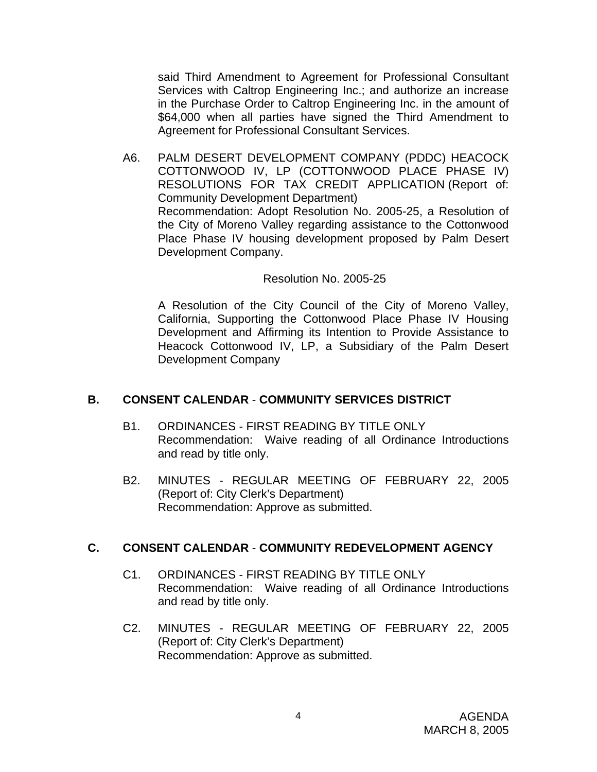said Third Amendment to Agreement for Professional Consultant Services with Caltrop Engineering Inc.; and authorize an increase in the Purchase Order to Caltrop Engineering Inc. in the amount of \$64,000 when all parties have signed the Third Amendment to Agreement for Professional Consultant Services.

A6. PALM DESERT DEVELOPMENT COMPANY (PDDC) HEACOCK COTTONWOOD IV, LP (COTTONWOOD PLACE PHASE IV) RESOLUTIONS FOR TAX CREDIT APPLICATION (Report of: Community Development Department) Recommendation: Adopt Resolution No. 2005-25, a Resolution of the City of Moreno Valley regarding assistance to the Cottonwood Place Phase IV housing development proposed by Palm Desert Development Company.

#### Resolution No. 2005-25

A Resolution of the City Council of the City of Moreno Valley, California, Supporting the Cottonwood Place Phase IV Housing Development and Affirming its Intention to Provide Assistance to Heacock Cottonwood IV, LP, a Subsidiary of the Palm Desert Development Company

#### **B. CONSENT CALENDAR** - **COMMUNITY SERVICES DISTRICT**

- B1. ORDINANCES FIRST READING BY TITLE ONLY Recommendation: Waive reading of all Ordinance Introductions and read by title only.
- B2. MINUTES REGULAR MEETING OF FEBRUARY 22, 2005 (Report of: City Clerk's Department) Recommendation: Approve as submitted.

#### **C. CONSENT CALENDAR** - **COMMUNITY REDEVELOPMENT AGENCY**

- C1. ORDINANCES FIRST READING BY TITLE ONLY Recommendation: Waive reading of all Ordinance Introductions and read by title only.
- C2. MINUTES REGULAR MEETING OF FEBRUARY 22, 2005 (Report of: City Clerk's Department) Recommendation: Approve as submitted.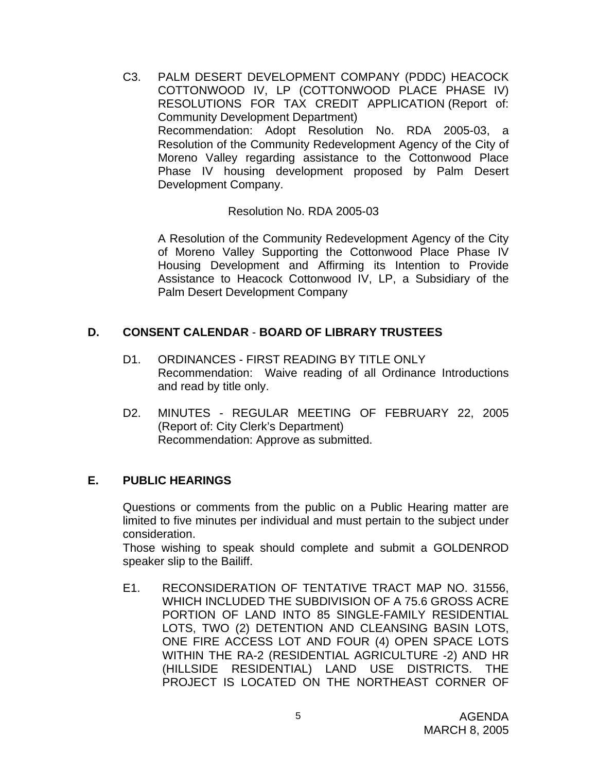C3. PALM DESERT DEVELOPMENT COMPANY (PDDC) HEACOCK COTTONWOOD IV, LP (COTTONWOOD PLACE PHASE IV) RESOLUTIONS FOR TAX CREDIT APPLICATION (Report of: Community Development Department) Recommendation: Adopt Resolution No. RDA 2005-03, a Resolution of the Community Redevelopment Agency of the City of Moreno Valley regarding assistance to the Cottonwood Place Phase IV housing development proposed by Palm Desert Development Company.

Resolution No. RDA 2005-03

A Resolution of the Community Redevelopment Agency of the City of Moreno Valley Supporting the Cottonwood Place Phase IV Housing Development and Affirming its Intention to Provide Assistance to Heacock Cottonwood IV, LP, a Subsidiary of the Palm Desert Development Company

# **D. CONSENT CALENDAR** - **BOARD OF LIBRARY TRUSTEES**

- D1. ORDINANCES FIRST READING BY TITLE ONLY Recommendation: Waive reading of all Ordinance Introductions and read by title only.
- D2. MINUTES REGULAR MEETING OF FEBRUARY 22, 2005 (Report of: City Clerk's Department) Recommendation: Approve as submitted.

#### **E. PUBLIC HEARINGS**

Questions or comments from the public on a Public Hearing matter are limited to five minutes per individual and must pertain to the subject under consideration.

 Those wishing to speak should complete and submit a GOLDENROD speaker slip to the Bailiff.

E1. RECONSIDERATION OF TENTATIVE TRACT MAP NO. 31556, WHICH INCLUDED THE SUBDIVISION OF A 75.6 GROSS ACRE PORTION OF LAND INTO 85 SINGLE-FAMILY RESIDENTIAL LOTS, TWO (2) DETENTION AND CLEANSING BASIN LOTS, ONE FIRE ACCESS LOT AND FOUR (4) OPEN SPACE LOTS WITHIN THE RA-2 (RESIDENTIAL AGRICULTURE -2) AND HR (HILLSIDE RESIDENTIAL) LAND USE DISTRICTS. THE PROJECT IS LOCATED ON THE NORTHEAST CORNER OF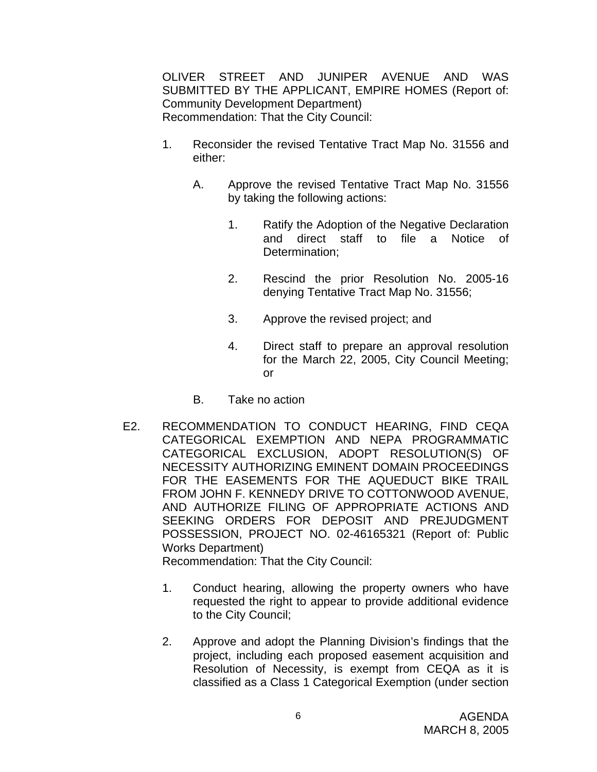OLIVER STREET AND JUNIPER AVENUE AND WAS SUBMITTED BY THE APPLICANT, EMPIRE HOMES (Report of: Community Development Department) Recommendation: That the City Council:

- 1. Reconsider the revised Tentative Tract Map No. 31556 and either:
	- A. Approve the revised Tentative Tract Map No. 31556 by taking the following actions:
		- 1. Ratify the Adoption of the Negative Declaration and direct staff to file a Notice of Determination;
		- 2. Rescind the prior Resolution No. 2005-16 denying Tentative Tract Map No. 31556;
		- 3. Approve the revised project; and
		- 4. Direct staff to prepare an approval resolution for the March 22, 2005, City Council Meeting; or
	- B. Take no action
- E2. RECOMMENDATION TO CONDUCT HEARING, FIND CEQA CATEGORICAL EXEMPTION AND NEPA PROGRAMMATIC CATEGORICAL EXCLUSION, ADOPT RESOLUTION(S) OF NECESSITY AUTHORIZING EMINENT DOMAIN PROCEEDINGS FOR THE EASEMENTS FOR THE AQUEDUCT BIKE TRAIL FROM JOHN F. KENNEDY DRIVE TO COTTONWOOD AVENUE, AND AUTHORIZE FILING OF APPROPRIATE ACTIONS AND SEEKING ORDERS FOR DEPOSIT AND PREJUDGMENT POSSESSION, PROJECT NO. 02-46165321 (Report of: Public Works Department) Recommendation: That the City Council:

- 1. Conduct hearing, allowing the property owners who have requested the right to appear to provide additional evidence to the City Council;
- 2. Approve and adopt the Planning Division's findings that the project, including each proposed easement acquisition and Resolution of Necessity, is exempt from CEQA as it is classified as a Class 1 Categorical Exemption (under section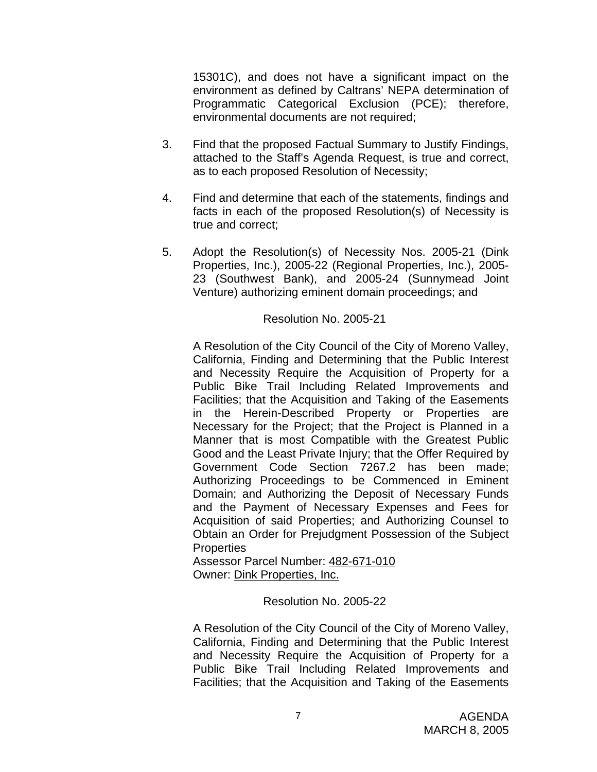15301C), and does not have a significant impact on the environment as defined by Caltrans' NEPA determination of Programmatic Categorical Exclusion (PCE); therefore, environmental documents are not required;

- 3. Find that the proposed Factual Summary to Justify Findings, attached to the Staff's Agenda Request, is true and correct, as to each proposed Resolution of Necessity;
- 4. Find and determine that each of the statements, findings and facts in each of the proposed Resolution(s) of Necessity is true and correct;
- 5. Adopt the Resolution(s) of Necessity Nos. 2005-21 (Dink Properties, Inc.), 2005-22 (Regional Properties, Inc.), 2005- 23 (Southwest Bank), and 2005-24 (Sunnymead Joint Venture) authorizing eminent domain proceedings; and

#### Resolution No. 2005-21

 A Resolution of the City Council of the City of Moreno Valley, California, Finding and Determining that the Public Interest and Necessity Require the Acquisition of Property for a Public Bike Trail Including Related Improvements and Facilities; that the Acquisition and Taking of the Easements in the Herein-Described Property or Properties are Necessary for the Project; that the Project is Planned in a Manner that is most Compatible with the Greatest Public Good and the Least Private Injury; that the Offer Required by Government Code Section 7267.2 has been made; Authorizing Proceedings to be Commenced in Eminent Domain; and Authorizing the Deposit of Necessary Funds and the Payment of Necessary Expenses and Fees for Acquisition of said Properties; and Authorizing Counsel to Obtain an Order for Prejudgment Possession of the Subject **Properties** 

Assessor Parcel Number: 482-671-010 Owner: Dink Properties, Inc.

Resolution No. 2005-22

A Resolution of the City Council of the City of Moreno Valley, California, Finding and Determining that the Public Interest and Necessity Require the Acquisition of Property for a Public Bike Trail Including Related Improvements and Facilities; that the Acquisition and Taking of the Easements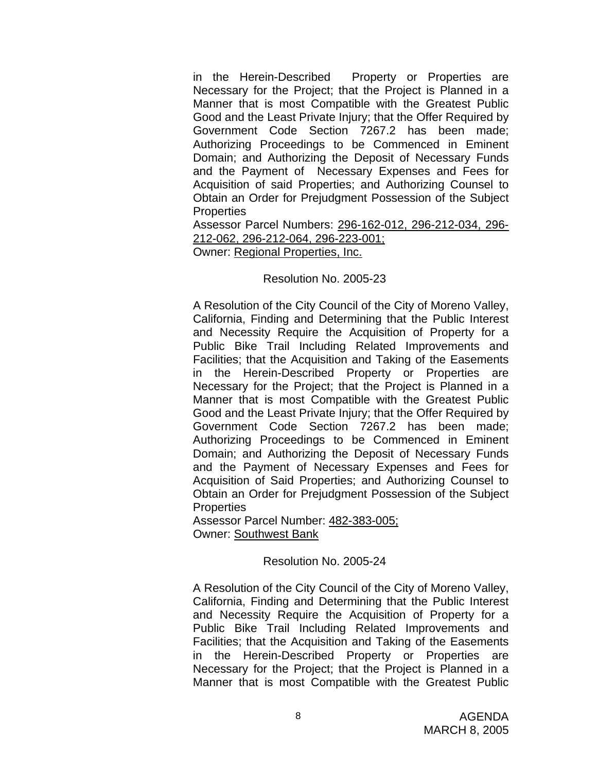in the Herein-Described Property or Properties are Necessary for the Project; that the Project is Planned in a Manner that is most Compatible with the Greatest Public Good and the Least Private Injury; that the Offer Required by Government Code Section 7267.2 has been made; Authorizing Proceedings to be Commenced in Eminent Domain; and Authorizing the Deposit of Necessary Funds and the Payment of Necessary Expenses and Fees for Acquisition of said Properties; and Authorizing Counsel to Obtain an Order for Prejudgment Possession of the Subject **Properties** 

Assessor Parcel Numbers: 296-162-012, 296-212-034, 296- 212-062, 296-212-064, 296-223-001;

Owner: Regional Properties, Inc.

#### Resolution No. 2005-23

A Resolution of the City Council of the City of Moreno Valley, California, Finding and Determining that the Public Interest and Necessity Require the Acquisition of Property for a Public Bike Trail Including Related Improvements and Facilities; that the Acquisition and Taking of the Easements in the Herein-Described Property or Properties are Necessary for the Project; that the Project is Planned in a Manner that is most Compatible with the Greatest Public Good and the Least Private Injury; that the Offer Required by Government Code Section 7267.2 has been made; Authorizing Proceedings to be Commenced in Eminent Domain; and Authorizing the Deposit of Necessary Funds and the Payment of Necessary Expenses and Fees for Acquisition of Said Properties; and Authorizing Counsel to Obtain an Order for Prejudgment Possession of the Subject **Properties** 

Assessor Parcel Number: 482-383-005; Owner: Southwest Bank

Resolution No. 2005-24

A Resolution of the City Council of the City of Moreno Valley, California, Finding and Determining that the Public Interest and Necessity Require the Acquisition of Property for a Public Bike Trail Including Related Improvements and Facilities; that the Acquisition and Taking of the Easements in the Herein-Described Property or Properties are Necessary for the Project; that the Project is Planned in a Manner that is most Compatible with the Greatest Public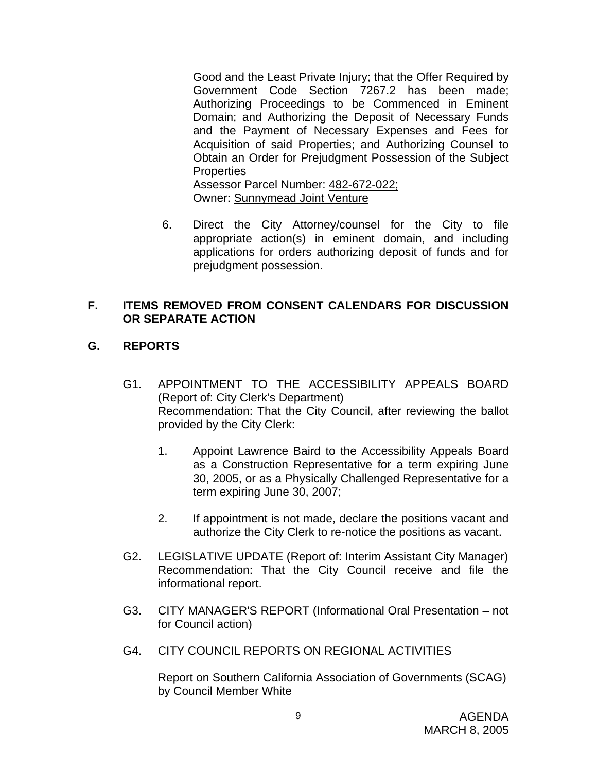Good and the Least Private Injury; that the Offer Required by Government Code Section 7267.2 has been made; Authorizing Proceedings to be Commenced in Eminent Domain; and Authorizing the Deposit of Necessary Funds and the Payment of Necessary Expenses and Fees for Acquisition of said Properties; and Authorizing Counsel to Obtain an Order for Prejudgment Possession of the Subject **Properties** Assessor Parcel Number: 482-672-022;

Owner: Sunnymead Joint Venture

6. Direct the City Attorney/counsel for the City to file appropriate action(s) in eminent domain, and including applications for orders authorizing deposit of funds and for prejudgment possession.

# **F. ITEMS REMOVED FROM CONSENT CALENDARS FOR DISCUSSION OR SEPARATE ACTION**

# **G. REPORTS**

- G1. APPOINTMENT TO THE ACCESSIBILITY APPEALS BOARD (Report of: City Clerk's Department) Recommendation: That the City Council, after reviewing the ballot provided by the City Clerk:
	- 1. Appoint Lawrence Baird to the Accessibility Appeals Board as a Construction Representative for a term expiring June 30, 2005, or as a Physically Challenged Representative for a term expiring June 30, 2007;
	- 2. If appointment is not made, declare the positions vacant and authorize the City Clerk to re-notice the positions as vacant.
- G2. LEGISLATIVE UPDATE (Report of: Interim Assistant City Manager) Recommendation: That the City Council receive and file the informational report.
- G3. CITY MANAGER'S REPORT (Informational Oral Presentation not for Council action)
- G4. CITY COUNCIL REPORTS ON REGIONAL ACTIVITIES

 Report on Southern California Association of Governments (SCAG) by Council Member White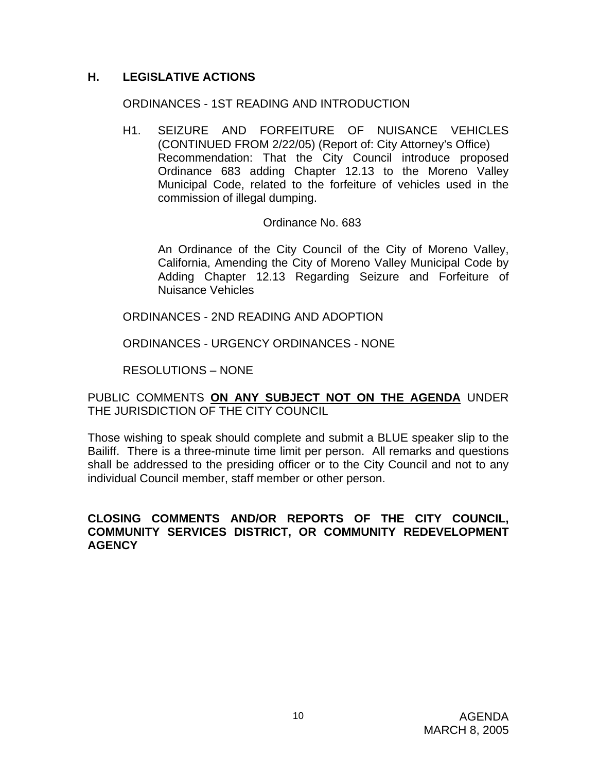# **H. LEGISLATIVE ACTIONS**

#### ORDINANCES - 1ST READING AND INTRODUCTION

H1. SEIZURE AND FORFEITURE OF NUISANCE VEHICLES (CONTINUED FROM 2/22/05) (Report of: City Attorney's Office) Recommendation: That the City Council introduce proposed Ordinance 683 adding Chapter 12.13 to the Moreno Valley Municipal Code, related to the forfeiture of vehicles used in the commission of illegal dumping.

#### Ordinance No. 683

An Ordinance of the City Council of the City of Moreno Valley, California, Amending the City of Moreno Valley Municipal Code by Adding Chapter 12.13 Regarding Seizure and Forfeiture of Nuisance Vehicles

ORDINANCES - 2ND READING AND ADOPTION

ORDINANCES - URGENCY ORDINANCES - NONE

RESOLUTIONS – NONE

PUBLIC COMMENTS **ON ANY SUBJECT NOT ON THE AGENDA** UNDER THE JURISDICTION OF THE CITY COUNCIL

Those wishing to speak should complete and submit a BLUE speaker slip to the Bailiff. There is a three-minute time limit per person. All remarks and questions shall be addressed to the presiding officer or to the City Council and not to any individual Council member, staff member or other person.

#### **CLOSING COMMENTS AND/OR REPORTS OF THE CITY COUNCIL, COMMUNITY SERVICES DISTRICT, OR COMMUNITY REDEVELOPMENT AGENCY**